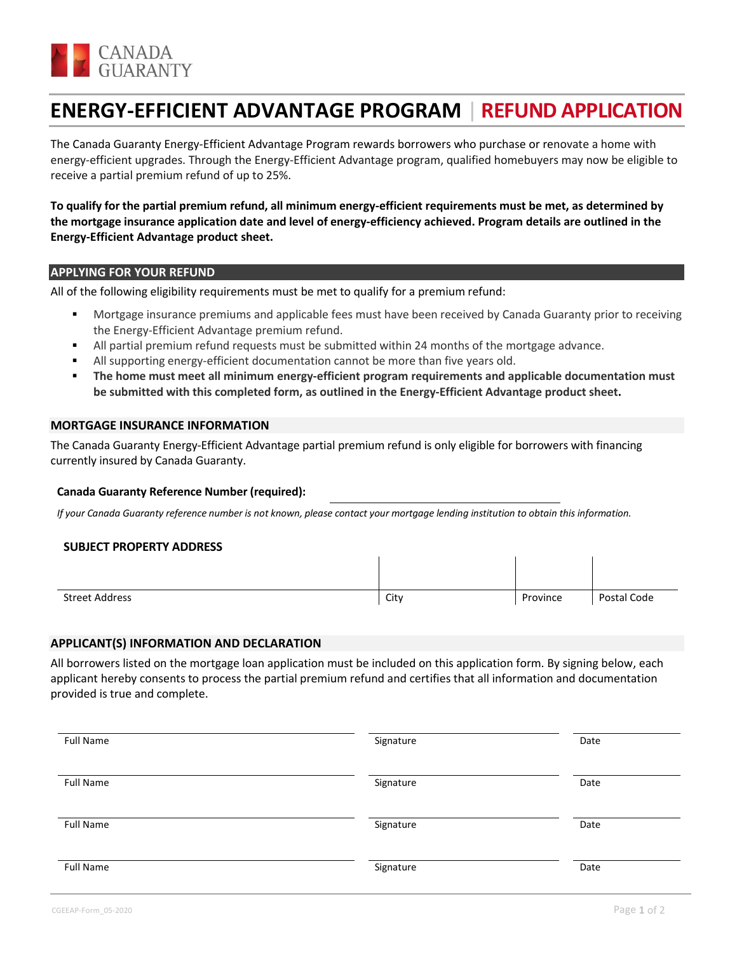

# **ENERGY-EFFICIENT ADVANTAGE PROGRAM** | **REFUND APPLICATION**

The Canada Guaranty Energy-Efficient Advantage Program rewards borrowers who purchase or renovate a home with energy-efficient upgrades. Through the Energy-Efficient Advantage program, qualified homebuyers may now be eligible to receive a partial premium refund of up to 25%.

# **To qualify for the partial premium refund, all minimum energy-efficient requirements must be met, as determined by the mortgage insurance application date and level of energy-efficiency achieved. Program details are outlined in the Energy-Efficient Advantage product sheet.**

# **APPLYING FOR YOUR REFUND**

All of the following eligibility requirements must be met to qualify for a premium refund:

- Mortgage insurance premiums and applicable fees must have been received by Canada Guaranty prior to receiving the Energy-Efficient Advantage premium refund.
- All partial premium refund requests must be submitted within 24 months of the mortgage advance.
- All supporting energy-efficient documentation cannot be more than five years old.
- **The home must meet all minimum energy-efficient program requirements and applicable documentation must be submitted with this completed form, as outlined in the Energy-Efficient Advantage product sheet.**

#### **MORTGAGE INSURANCE INFORMATION**

The Canada Guaranty Energy-Efficient Advantage partial premium refund is only eligible for borrowers with financing currently insured by Canada Guaranty.

#### **Canada Guaranty Reference Number (required):**

*If your Canada Guaranty reference number is not known, please contact your mortgage lending institution to obtain this information.*

#### **SUBJECT PROPERTY ADDRESS**

| Street Address | City | Province | Postal Code |
|----------------|------|----------|-------------|

#### **APPLICANT(S) INFORMATION AND DECLARATION**

All borrowers listed on the mortgage loan application must be included on this application form. By signing below, each applicant hereby consents to process the partial premium refund and certifies that all information and documentation provided is true and complete.

| <b>Full Name</b> | Signature | Date |
|------------------|-----------|------|
| <b>Full Name</b> | Signature | Date |
| <b>Full Name</b> | Signature | Date |
| <b>Full Name</b> | Signature | Date |